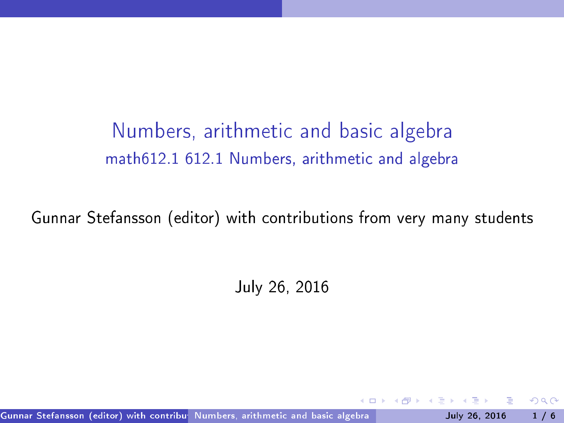numbers, arithmetical contracts are algebra to the contract of the contracts of the contracts of the contracts math612.1 612.1 Numbers, arithmeti and algebra

Gunnar Stefansson (editor) with contributions from very many students

July 26, 2016

Gunnar Stefansson (editor) with contribu<sup>s</sup> Numbers, arithmetic and basic algebra **July 2001-1999** July 26, 2016 1 / 6

<span id="page-0-0"></span> $QQ$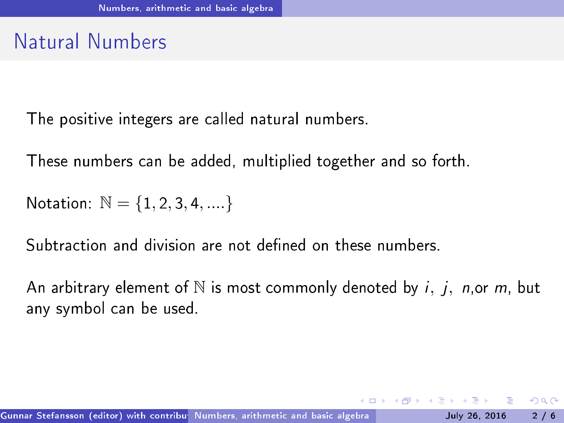# Natural Numbers

The positive integers are called natural numbers.

These numbers an be added, multiplied together and so forth.

Notation:  $N = \{1, 2, 3, 4, \dots\}$ 

Subtraction and division are not defined on these numbers.

An arbitrary element of  $\mathbb N$  is most commonly denoted by *i*, *j*, *n*, or *m*, but any symbol can be used.

<span id="page-1-0"></span> $OQ$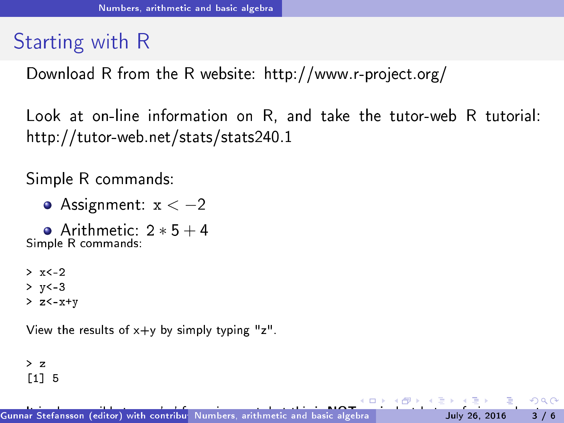# Starting with <sup>R</sup>

Download R from the R website: http://www.r-proje
t.org/

Look at on-line information on R, and take the tutor-web R tutorial: http://tutor-web.net/stats/stats240.1

Simple R ommands:

 $\bullet$  Assignment:  $x < -2$ 

• Arithmetic:  $2 * 5 + 4$ <br>Simple R commands Simple <sup>R</sup> ommands:

 $> x < -2$  $> v < -3$  $> z < -x + v$  $\sim$  zero  $\sim$   $\sim$ 

View the results of  $x+y$  by simply typing "z".

<span id="page-2-0"></span> $> z$ [1℄ <sup>5</sup>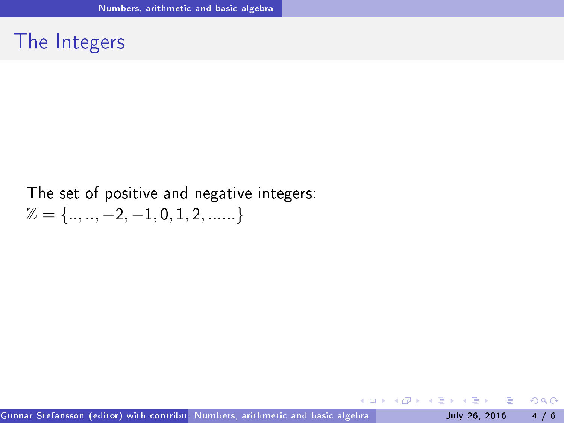#### The Integers

#### The set of positive and negative integers:  $\mathbb{Z} = \{..., -2, -1, 0, 1, 2, .....\}$

(□ ) (f)

イ ヨード

<span id="page-3-0"></span> $298$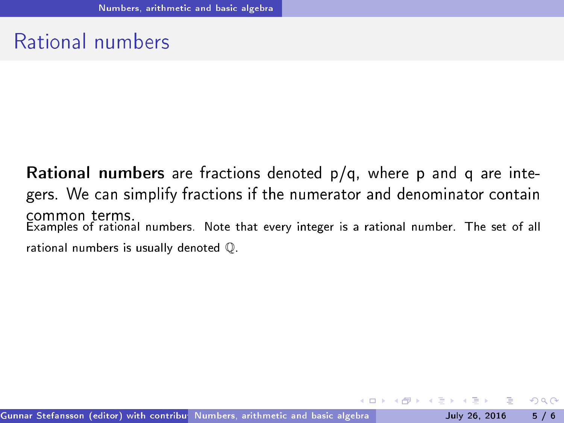# Rational numbers

Rational numbers are fractions denoted  $p/q$ , where p and q are integers. We can simplify fractions if the numerator and denominator contain common terms Examples of rational numbers. Note that every integer is a rational number. The set of all rational numbers is usually denoted Q.

<span id="page-4-0"></span> $QQ$